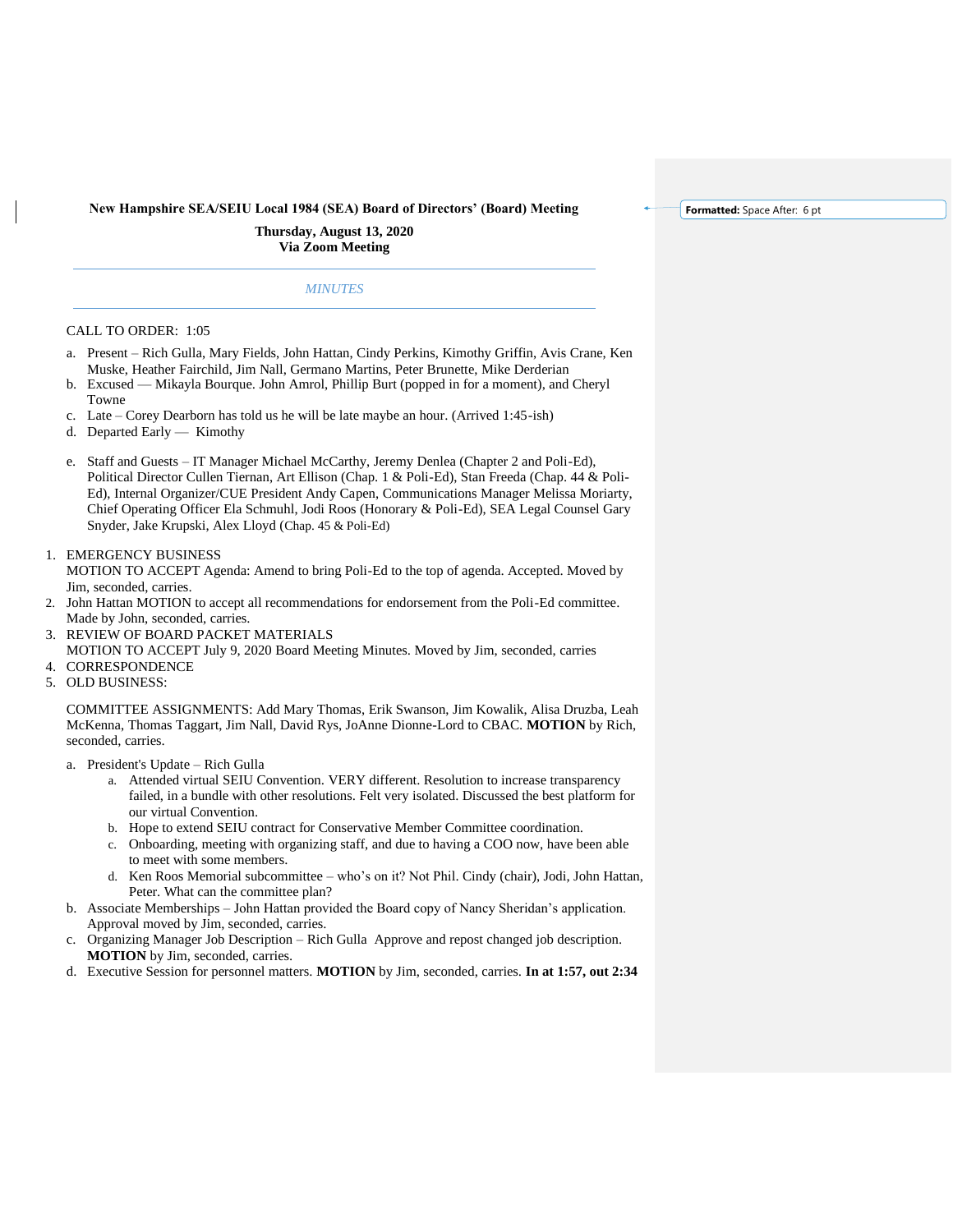**New Hampshire SEA/SEIU Local 1984 (SEA) Board of Directors' (Board) Meeting**

**Formatted:** Space After: 6 pt

**Thursday, August 13, 2020 Via Zoom Meeting**

## *MINUTES*

## CALL TO ORDER: 1:05

- a. Present Rich Gulla, Mary Fields, John Hattan, Cindy Perkins, Kimothy Griffin, Avis Crane, Ken Muske, Heather Fairchild, Jim Nall, Germano Martins, Peter Brunette, Mike Derderian
- b. Excused Mikayla Bourque. John Amrol, Phillip Burt (popped in for a moment), and Cheryl Towne
- c. Late Corey Dearborn has told us he will be late maybe an hour. (Arrived 1:45-ish)
- d. Departed Early Kimothy
- e. Staff and Guests IT Manager Michael McCarthy, Jeremy Denlea (Chapter 2 and Poli-Ed), Political Director Cullen Tiernan, Art Ellison (Chap. 1 & Poli-Ed), Stan Freeda (Chap. 44 & Poli-Ed), Internal Organizer/CUE President Andy Capen, Communications Manager Melissa Moriarty, Chief Operating Officer Ela Schmuhl, Jodi Roos (Honorary & Poli-Ed), SEA Legal Counsel Gary Snyder, Jake Krupski, Alex Lloyd (Chap. 45 & Poli-Ed)
- 1. EMERGENCY BUSINESS

MOTION TO ACCEPT Agenda: Amend to bring Poli-Ed to the top of agenda. Accepted. Moved by Jim, seconded, carries.

- 2. John Hattan MOTION to accept all recommendations for endorsement from the Poli-Ed committee. Made by John, seconded, carries.
- 3. REVIEW OF BOARD PACKET MATERIALS

MOTION TO ACCEPT July 9, 2020 Board Meeting Minutes. Moved by Jim, seconded, carries 4. CORRESPONDENCE

5. OLD BUSINESS:

COMMITTEE ASSIGNMENTS: Add Mary Thomas, Erik Swanson, Jim Kowalik, Alisa Druzba, Leah McKenna, Thomas Taggart, Jim Nall, David Rys, JoAnne Dionne-Lord to CBAC. **MOTION** by Rich, seconded, carries.

- a. President's Update Rich Gulla
	- a. Attended virtual SEIU Convention. VERY different. Resolution to increase transparency failed, in a bundle with other resolutions. Felt very isolated. Discussed the best platform for our virtual Convention.
	- b. Hope to extend SEIU contract for Conservative Member Committee coordination.
	- c. Onboarding, meeting with organizing staff, and due to having a COO now, have been able to meet with some members.
	- d. Ken Roos Memorial subcommittee who's on it? Not Phil. Cindy (chair), Jodi, John Hattan, Peter. What can the committee plan?
- b. Associate Memberships John Hattan provided the Board copy of Nancy Sheridan's application. Approval moved by Jim, seconded, carries.
- c. Organizing Manager Job Description Rich Gulla Approve and repost changed job description. **MOTION** by Jim, seconded, carries.
- d. Executive Session for personnel matters. **MOTION** by Jim, seconded, carries. **In at 1:57, out 2:34**